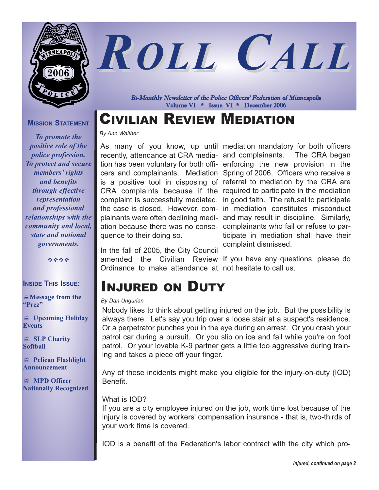

# *ROLL CALL*

Bi-Monthly Newsletter of the Police Officers' Federation of Minneapolis Volume VI \* Issue VI \* December 2006

## CIVILIAN REVIEW MEDIATION

*By Ann Walther*

quence to their doing so.

In the fall of 2005, the City Council

As many of you know, up until mediation mandatory for both officers recently, attendance at CRA media- and complainants. The CRA began tion has been voluntary for both offi- enforcing the new provision in the cers and complainants. Mediation Spring of 2006. Officers who receive a is a positive tool in disposing of referral to mediation by the CRA are CRA complaints because if the required to participate in the mediation complaint is successfully mediated, in good faith. The refusal to participate the case is closed. However, com- in mediation constitutes misconduct plainants were often declining medi- and may result in discipline. Similarly, ation because there was no conse- complainants who fail or refuse to participate in mediation shall have their complaint dismissed.

amended the Civilian Review If you have any questions, please do Ordinance to make attendance at not hesitate to call us.

## INJURED ON DUTY

#### *By Dan Ungurian*

Nobody likes to think about getting injured on the job. But the possibility is always there. Let's say you trip over a loose stair at a suspect's residence. Or a perpetrator punches you in the eye during an arrest. Or you crash your patrol car during a pursuit. Or you slip on ice and fall while you're on foot patrol. Or your lovable K-9 partner gets a little too aggressive during training and takes a piece off your finger.

Any of these incidents might make you eligible for the injury-on-duty (IOD) Benefit.

#### What is IOD?

If you are a city employee injured on the job, work time lost because of the injury is covered by workers' compensation insurance - that is, two-thirds of your work time is covered.

IOD is a benefit of the Federation's labor contract with the city which pro-

#### **MISSION STATEMENT**

*To promote the positive role of the police profession. To protect and secure members' rights and benefits through effective representation and professional relationships with the community and local, state and national governments.*

----

#### **INSIDE THIS ISSUE:**

-**Message from the "Prez"**

- **Upcoming Holiday Events**

- **SLP Charity Softball**

**Pelican Flashlight Announcement**

- **MPD Officer Nationally Recognized**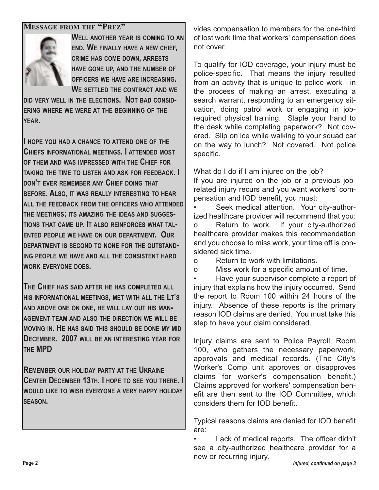#### **MESSAGE FROM THE "PREZ"**



**WELL ANOTHER YEAR IS COMING TO AN END. WE FINALLY HAVE A NEW CHIEF, CRIME HAS COME DOWN, ARRESTS HAVE GONE UP, AND THE NUMBER OF OFFICERS WE HAVE ARE INCREASING. WE SETTLED THE CONTRACT AND WE**

**DID VERY WELL IN THE ELECTIONS. NOT BAD CONSID-ERING WHERE WE WERE AT THE BEGINNING OF THE YEAR.**

**I HOPE YOU HAD A CHANCE TO ATTEND ONE OF THE CHIEFS INFORMATIONAL MEETINGS. I ATTENDED MOST OF THEM AND WAS IMPRESSED WITH THE CHIEF FOR TAKING THE TIME TO LISTEN AND ASK FOR FEEDBACK. I DON'T EVER REMEMBER ANY CHIEF DOING THAT BEFORE. ALSO, IT WAS REALLY INTERESTING TO HEAR ALL THE FEEDBACK FROM THE OFFICERS WHO ATTENDED THE MEETINGS; ITS AMAZING THE IDEAS AND SUGGES-TIONS THAT CAME UP. IT ALSO REINFORCES WHAT TAL-ENTED PEOPLE WE HAVE ON OUR DEPARTMENT. OUR DEPARTMENT IS SECOND TO NONE FOR THE OUTSTAND-ING PEOPLE WE HAVE AND ALL THE CONSISTENT HARD WORK EVERYONE DOES.**

**THE CHIEF HAS SAID AFTER HE HAS COMPLETED ALL HIS INFORMATIONAL MEETINGS, MET WITH ALL THE LT'S AND ABOVE ONE ON ONE, HE WILL LAY OUT HIS MAN-AGEMENT TEAM AND ALSO THE DIRECTION WE WILL BE MOVING IN. HE HAS SAID THIS SHOULD BE DONE MY MID DECEMBER. 2007 WILL BE AN INTERESTING YEAR FOR THE MPD**

**REMEMBER OUR HOLIDAY PARTY AT THE UKRAINE CENTER DECEMBER 13TH. I HOPE TO SEE YOU THERE. I WOULD LIKE TO WISH EVERYONE A VERY HAPPY HOLIDAY SEASON.**

vides compensation to members for the one-third of lost work time that workers' compensation does not cover.

To qualify for IOD coverage, your injury must be police-specific. That means the injury resulted from an activity that is unique to police work - in the process of making an arrest, executing a search warrant, responding to an emergency situation, doing patrol work or engaging in jobrequired physical training. Staple your hand to the desk while completing paperwork? Not covered. Slip on ice while walking to your squad car on the way to lunch? Not covered. Not police specific.

What do I do if I am injured on the job?

If you are injured on the job or a previous jobrelated injury recurs and you want workers' compensation and IOD benefit, you must:

Seek medical attention. Your city-authorized healthcare provider will recommend that you: o Return to work. If your city-authorized healthcare provider makes this recommendation and you choose to miss work, your time off is considered sick time.

o Return to work with limitations.

o Miss work for a specific amount of time.

• Have your supervisor complete a report of injury that explains how the injury occurred. Send the report to Room 100 within 24 hours of the injury. Absence of these reports is the primary reason IOD claims are denied. You must take this step to have your claim considered.

Injury claims are sent to Police Payroll, Room 100, who gathers the necessary paperwork, approvals and medical records. (The City's Worker's Comp unit approves or disapproves claims for worker's compensation benefit.) Claims approved for workers' compensation benefit are then sent to the IOD Committee, which considers them for IOD benefit.

Typical reasons claims are denied for IOD benefit are:

Lack of medical reports. The officer didn't see a city-authorized healthcare provider for a new or recurring injury.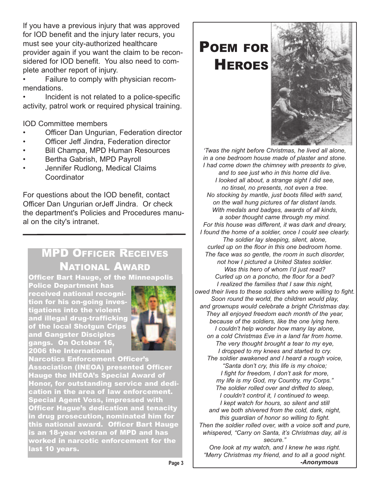If you have a previous injury that was approved for IOD benefit and the injury later recurs, you must see your city-authorized healthcare provider again if you want the claim to be reconsidered for IOD benefit. You also need to complete another report of injury.

• Failure to comply with physician recommendations.

• Incident is not related to a police-specific activity, patrol work or required physical training.

IOD Committee members

- **Officer Dan Ungurian, Federation director**
- Officer Jeff Jindra, Federation director
- Bill Champa, MPD Human Resources
- Bertha Gabrish, MPD Payroll
- Jennifer Rudlong, Medical Claims Coordinator

For questions about the IOD benefit, contact Officer Dan Ungurian orJeff Jindra. Or check the department's Policies and Procedures manual on the city's intranet.

## MPD OFFICER RECEIVES NATIONAL AWARD

Officer Bart Hauge, of the Minneapolis

Police Department has received national recognition for his on-going investigations into the violent and illegal drug-trafficking of the local Shotgun Crips and Gangster Disciples gangs. On October 16, 2006 the International



Narcotics Enforcement Officer's Association (INEOA) presented Officer Hauge the INEOA's Special Award of Honor, for outstanding service and dedication in the area of law enforcement. Special Agent Voss, impressed with Officer Hague's dedication and tenacity in drug prosecution, nominated him for this national award. Officer Bart Hauge is an 18-year veteran of MPD and has worked in narcotic enforcement for the last 10 years.

# POEM FOR **HEROES**



*'Twas the night before Christmas, he lived all alone, in a one bedroom house made of plaster and stone. I had come down the chimney with presents to give, and to see just who in this home did live. I looked all about, a strange sight I did see, no tinsel, no presents, not even a tree. No stocking by mantle, just boots filled with sand, on the wall hung pictures of far distant lands. With medals and badges, awards of all kinds, a sober thought came through my mind. For this house was different, it was dark and dreary, I found the home of a soldier, once I could see clearly. The soldier lay sleeping, silent, alone, curled up on the floor in this one bedroom home. The face was so gentle, the room in such disorder, not how I pictured a United States soldier. Was this hero of whom I'd just read? Curled up on a poncho, the floor for a bed? I realized the families that I saw this night, owed their lives to these soldiers who were willing to fight. Soon round the world, the children would play, and grownups would celebrate a bright Christmas day. They all enjoyed freedom each month of the year, because of the soldiers, like the one lying here. I couldn't help wonder how many lay alone, on a cold Christmas Eve in a land far from home. The very thought brought a tear to my eye, I dropped to my knees and started to cry. The soldier awakened and I heard a rough voice, "Santa don't cry, this life is my choice; I fight for freedom, I don't ask for more, my life is my God, my Country, my Corps." The soldier rolled over and drifted to sleep, I couldn't control it, I continued to weep. I kept watch for hours, so silent and still and we both shivered from the cold, dark, night, this guardian of honor so willing to fight. Then the soldier rolled over, with a voice soft and pure, whispered, "Carry on Santa, it's Christmas day, all is secure."*

*One look at my watch, and I knew he was right. "Merry Christmas my friend, and to all a good night.* **Page 3** *-Anonymous*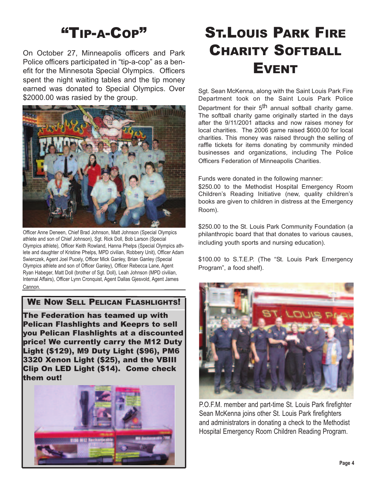## "TIP-A-COP"

On October 27, Minneapolis officers and Park Police officers participated in "tip-a-cop" as a benefit for the Minnesota Special Olympics. Officers spent the night waiting tables and the tip money earned was donated to Special Olympics. Over \$2000.00 was rasied by the group.



Officer Anne Deneen, Chief Brad Johnson, Matt Johnson (Special Olympics athlete and son of Chief Johnson), Sgt. Rick Doll, Bob Larson (Special Olympics athlete), Officer Keith Rowland, Hanna Phelps (Special Olympics athlete and daughter of Kristine Phelps, MPD civilian, Robbery Unit), Officer Adam Swierczek, Agent Joel Pucely, Officer Mick Ganley, Brian Ganley (Special Olympics athlete and son of Officer Ganley), Officer Rebecca Lane, Agent Ryan Habeger, Matt Doll (brother of Sgt. Doll), Leah Johnson (MPD civilian, Internal Affairs), Officer Lynn Cronquist, Agent Dallas Gjesvold, Agent James Cannon.

### WE NOW SELL PELICAN FLASHLIGHTS!

The Federation has teamed up with Pelican Flashlights and Keeprs to sell you Pelican Flashlights at a discounted price! We currently carry the M12 Duty Light (\$129), M9 Duty Light (\$96), PM6 3320 Xenon Light (\$25), and the VBIII Clip On LED Light (\$14). Come check them out!



# ST.LOUIS PARK FIRE CHARITY SOFTBALL **EVENT**

Sgt. Sean McKenna, along with the Saint Louis Park Fire Department took on the Saint Louis Park Police Department for their 5<sup>th</sup> annual softball charity game. The softball charity game originally started in the days after the 9/11/2001 attacks and now raises money for local charities. The 2006 game raised \$600.00 for local charities. This money was raised through the selling of raffle tickets for items donating by community minded businesses and organizations, including The Police Officers Federation of Minneapolis Charities.

Funds were donated in the following manner:

\$250.00 to the Methodist Hospital Emergency Room Children's Reading Initiative (new, quality children's books are given to children in distress at the Emergency Room).

\$250.00 to the St. Louis Park Community Foundation (a philanthropic board that that donates to various causes, including youth sports and nursing education).

\$100.00 to S.T.E.P. (The "St. Louis Park Emergency Program", a food shelf).



P.O.F.M. member and part-time St. Louis Park firefighter Sean McKenna joins other St. Louis Park firefighters and administrators in donating a check to the Methodist Hospital Emergency Room Children Reading Program.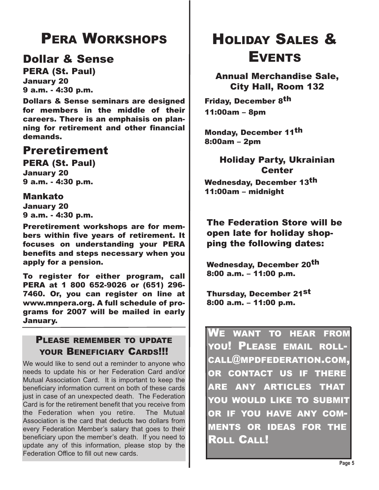# PERA WORKSHOPS

## Dollar & Sense

PERA (St. Paul) January 20 9 a.m. - 4:30 p.m.

Dollars & Sense seminars are designed for members in the middle of their careers. There is an emphaisis on planning for retirement and other financial demands.

## Preretirement

PERA (St. Paul) January 20 9 a.m. - 4:30 p.m.

## Mankato

January 20 9 a.m. - 4:30 p.m.

Preretirement workshops are for members within five years of retirement. It focuses on understanding your PERA benefits and steps necessary when you apply for a pension.

To register for either program, call PERA at 1 800 652-9026 or (651) 296- 7460. Or, you can register on line at www.mnpera.org. A full schedule of programs for 2007 will be mailed in early January.

## PLEASE REMEMBER TO UPDATE YOUR BENEFICIARY CARDS!!!

We would like to send out a reminder to anyone who needs to update his or her Federation Card and/or Mutual Association Card. It is important to keep the beneficiary information current on both of these cards just in case of an unexpected death. The Federation Card is for the retirement benefit that you receive from the Federation when you retire. The Mutual Association is the card that deducts two dollars from every Federation Member's salary that goes to their beneficiary upon the member's death. If you need to update any of this information, please stop by the Federation Office to fill out new cards.

# HOLIDAY SALES & **EVENTS**

Annual Merchandise Sale, City Hall, Room 132

Friday, December 8th 11:00am – 8pm

Monday, December 11th 8:00am – 2pm

> Holiday Party, Ukrainian **Center**

Wednesday, December 13th 11:00am – midnight

## The Federation Store will be open late for holiday shopping the following dates:

Wednesday, December 20th 8:00 a.m. – 11:00 p.m.

Thursday, December 21st 8:00 a.m. – 11:00 p.m.

WE WANT TO HEAR FROM YOU! PLEASE EMAIL ROLL- $\mathtt{CALL@MPDFEDERATION. COM},$ OR CONTACT US IF THERE ARE ANY ARTICLES THAT YOU WOULD LIKE TO SUBMIT OR IF YOU HAVE ANY COM-MENTS OR IDEAS FOR THE ROLL CALL!